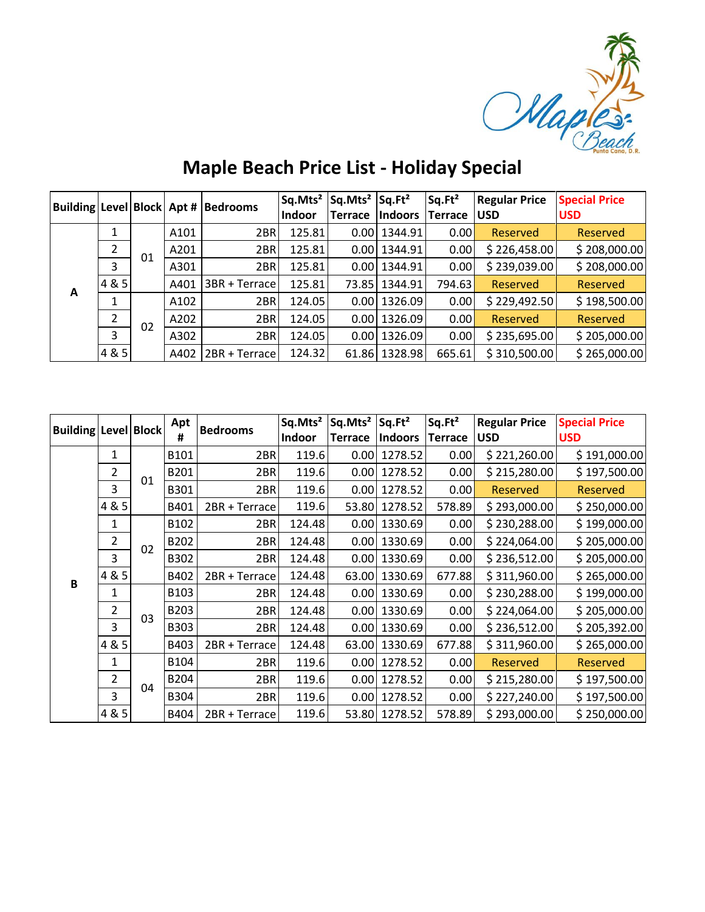

| <b>Maple Beach Price List - Holiday Special</b> |  |  |  |
|-------------------------------------------------|--|--|--|
|-------------------------------------------------|--|--|--|

|   |                          |    |      | Building Level Block Apt # Bedrooms | Sq.Mts <sup>2</sup> | $Sq.Mts^2   Sq.Ft^2$ |                  | Sq.Ft <sup>2</sup> | <b>Regular Price</b> | <b>Special Price</b> |
|---|--------------------------|----|------|-------------------------------------|---------------------|----------------------|------------------|--------------------|----------------------|----------------------|
|   |                          |    |      |                                     | <b>Indoor</b>       | <b>Terrace</b>       | <b>Indoors</b>   | Terrace USD        |                      | <b>USD</b>           |
| A |                          |    | A101 | 2BR                                 | 125.81              |                      | $0.00$   1344.91 | 0.00               | Reserved             | <b>Reserved</b>      |
|   | 2                        | 01 | A201 | 2BR                                 | 125.81              |                      | $0.00$   1344.91 | 0.00               | \$226,458.00         | \$208,000.00         |
|   | 3                        |    | A301 | 2BR                                 | 125.81              |                      | $0.00$   1344.91 | 0.00               | \$239,039.00         | \$208,000.00         |
|   | 4 & 5                    |    | A401 | 3BR + Terrace                       | 125.81              | 73.85                | 1344.91          | 794.63 <b>l</b>    | Reserved             | <b>Reserved</b>      |
|   |                          | 02 | A102 | 2BR                                 | 124.05              |                      | $0.00$   1326.09 | 0.00               | \$229,492.50         | \$198,500.00         |
|   | $\overline{\mathcal{L}}$ |    | A202 | 2BR                                 | 124.05              | 0.00                 | 1326.09          | 0.00               | Reserved             | <b>Reserved</b>      |
|   | 3                        |    | A302 | 2BR                                 | 124.05              |                      | $0.00$   1326.09 | 0.00               | \$235,695.00         | \$205,000.00         |
|   | 4 & 5                    |    | A402 | 2BR + Terrace                       | 124.32              | 61.86                | 1328.98          | 665.61             | \$310,500.00         | \$265,000.00         |

| <b>Building   Level   Block  </b> |                |    | Apt              | <b>Bedrooms</b> | Sq.Mts <sup>2</sup> | $Sq.Mts^2   Sq.Ft^2$ |                  | Sq.Ft <sup>2</sup> | <b>Regular Price</b> | <b>Special Price</b> |
|-----------------------------------|----------------|----|------------------|-----------------|---------------------|----------------------|------------------|--------------------|----------------------|----------------------|
|                                   |                |    | #                |                 | Indoor              | <b>Terrace</b>       | <b>Indoors</b>   | <b>Terrace</b>     | <b>USD</b>           | <b>USD</b>           |
|                                   | 1              |    | B101             | 2BR             | 119.6               | 0.00                 | 1278.52          | 0.00               | \$221,260.00         | \$191,000.00         |
|                                   | $\overline{2}$ | 01 | B201             | 2BR             | 119.6               | 0.00                 | 1278.52          | 0.00               | \$215,280.00         | \$197,500.00         |
|                                   | 3              |    | B301             | 2BR             | 119.6               | 0.00                 | 1278.52          | 0.00               | <b>Reserved</b>      | <b>Reserved</b>      |
|                                   | 4 & 5          |    | B401             | 2BR + Terrace   | 119.6               | 53.80                | 1278.52          | 578.89             | \$293,000.00         | \$250,000.00         |
|                                   | 1              |    | B <sub>102</sub> | 2BR             | 124.48              |                      | $0.00$ 1330.69   | 0.00               | \$230,288.00         | \$199,000.00         |
|                                   | $\overline{2}$ | 02 | B202             | 2BR             | 124.48              | 0.00                 | 1330.69          | 0.00               | \$224,064.00         | \$205,000.00         |
|                                   | 3              |    | B302             | 2BR             | 124.48              | 0.00                 | 1330.69          | 0.00               | \$236,512.00         | \$205,000.00         |
| B                                 | 4 & 5          |    | B402             | 2BR + Terrace   | 124.48              | 63.00                | 1330.69          | 677.88             | \$311,960.00         | \$265,000.00         |
|                                   | 1              |    | B103             | 2BR             | 124.48              |                      | $0.00$ 1330.69   | 0.00               | \$230,288.00         | \$199,000.00         |
|                                   | 2              | 03 | B203             | 2BR             | 124.48              |                      | $0.00$ 1330.69   | 0.00               | \$224,064.00         | \$205,000.00         |
|                                   | 3              |    | B303             | 2BR             | 124.48              |                      | $0.00$   1330.69 | 0.00               | \$236,512.00         | \$205,392.00         |
|                                   | 4 & 5          |    | B403             | 2BR + Terrace   | 124.48              | 63.00                | 1330.69          | 677.88             | \$311,960.00         | \$265,000.00         |
|                                   | 1              |    | B104             | 2BR             | 119.6               | 0.00                 | 1278.52          | 0.00               | <b>Reserved</b>      | <b>Reserved</b>      |
|                                   | $\overline{2}$ |    | B204             | 2BR             | 119.6               | 0.00                 | 1278.52          | 0.00               | \$215,280.00         | \$197,500.00         |
|                                   | 3              | 04 | B304             | 2BR             | 119.6               | 0.00                 | 1278.52          | 0.00               | \$227,240.00         | \$197,500.00         |
|                                   | 4 & 5          |    | B404             | 2BR + Terrace   | 119.6               |                      | 53.80 1278.52    | 578.89             | \$293,000.00         | \$250,000.00         |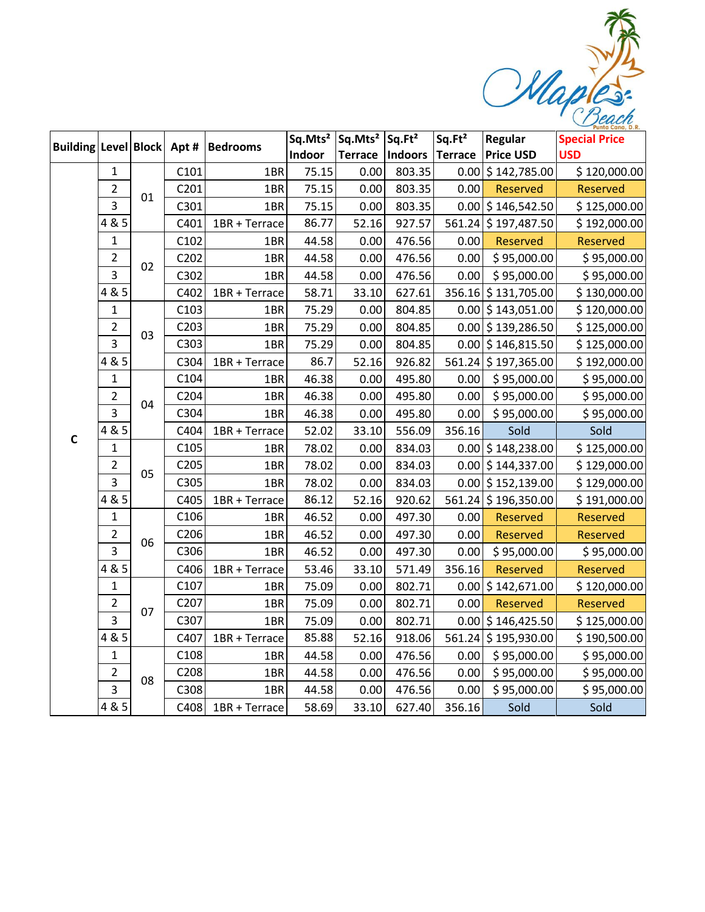Maples:

|              |                |    |      | Building Level Block Apt # Bedrooms |        | Sq.Mts <sup>2</sup>   Sq.Mts <sup>2</sup>   Sq.Ft <sup>2</sup> |                   | Sq.Ft <sup>2</sup> | Regular              | <b>Special Price</b> |
|--------------|----------------|----|------|-------------------------------------|--------|----------------------------------------------------------------|-------------------|--------------------|----------------------|----------------------|
|              |                |    |      |                                     | Indoor |                                                                | Terrace   Indoors | <b>Terrace</b>     | <b>Price USD</b>     | <b>USD</b>           |
|              | $\mathbf{1}$   |    | C101 | 1BR                                 | 75.15  | 0.00                                                           | 803.35            | 0.00               | \$142,785.00         | \$120,000.00         |
|              | 2              | 01 | C201 | 1BR                                 | 75.15  | 0.00                                                           | 803.35            | 0.00               | Reserved             | <b>Reserved</b>      |
|              | 3              |    | C301 | 1BR                                 | 75.15  | 0.00                                                           | 803.35            |                    | $0.00$ \$ 146,542.50 | \$125,000.00         |
|              | 4 & 5          |    | C401 | 1BR + Terrace                       | 86.77  | 52.16                                                          | 927.57            | 561.24             | \$197,487.50         | \$192,000.00         |
|              | 1              |    | C102 | 1BR                                 | 44.58  | 0.00                                                           | 476.56            | 0.00               | <b>Reserved</b>      | <b>Reserved</b>      |
|              | $\overline{2}$ | 02 | C202 | 1BR                                 | 44.58  | 0.00                                                           | 476.56            | 0.00               | \$95,000.00          | \$95,000.00          |
|              | 3              |    | C302 | 1BR                                 | 44.58  | 0.00                                                           | 476.56            | 0.00               | \$95,000.00          | \$95,000.00          |
|              | 4 & 5          |    | C402 | 1BR + Terrace                       | 58.71  | 33.10                                                          | 627.61            |                    | 356.16 \$131,705.00  | \$130,000.00         |
|              | $\mathbf 1$    |    | C103 | 1BR                                 | 75.29  | 0.00                                                           | 804.85            |                    | $0.00$ \$ 143,051.00 | \$120,000.00         |
|              | $\overline{2}$ | 03 | C203 | 1BR                                 | 75.29  | 0.00                                                           | 804.85            |                    | 0.00 \$139,286.50    | \$125,000.00         |
|              | 3              |    | C303 | 1BR                                 | 75.29  | 0.00                                                           | 804.85            |                    | $0.00$ \$ 146,815.50 | \$125,000.00         |
|              | 4 & 5          |    | C304 | 1BR + Terrace                       | 86.7   | 52.16                                                          | 926.82            |                    | 561.24 \$197,365.00  | \$192,000.00         |
|              | $\mathbf{1}$   |    | C104 | 1BR                                 | 46.38  | 0.00                                                           | 495.80            | 0.00               | \$95,000.00          | \$95,000.00          |
|              | $\overline{2}$ | 04 | C204 | 1BR                                 | 46.38  | 0.00                                                           | 495.80            | 0.00               | \$95,000.00          | \$95,000.00          |
|              | 3              |    | C304 | 1BR                                 | 46.38  | 0.00                                                           | 495.80            | 0.00               | \$95,000.00          | \$95,000.00          |
| $\mathsf{C}$ | 4 & 5          |    | C404 | 1BR + Terrace                       | 52.02  | 33.10                                                          | 556.09            | 356.16             | Sold                 | Sold                 |
|              | $\mathbf{1}$   |    | C105 | 1BR                                 | 78.02  | 0.00                                                           | 834.03            |                    | 0.00 \$148,238.00    | \$125,000.00         |
|              | $\overline{2}$ | 05 | C205 | 1BR                                 | 78.02  | 0.00                                                           | 834.03            |                    | 0.00 \$144,337.00    | \$129,000.00         |
|              | 3              |    | C305 | 1BR                                 | 78.02  | 0.00                                                           | 834.03            |                    | $0.00$ \$ 152,139.00 | \$129,000.00         |
|              | 4 & 5          |    | C405 | 1BR + Terrace                       | 86.12  | 52.16                                                          | 920.62            | 561.24             | \$196,350.00         | \$191,000.00         |
|              | $\mathbf{1}$   |    | C106 | 1BR                                 | 46.52  | 0.00                                                           | 497.30            | 0.00               | <b>Reserved</b>      | <b>Reserved</b>      |
|              | $\overline{2}$ | 06 | C206 | 1BR                                 | 46.52  | 0.00                                                           | 497.30            | 0.00               | Reserved             | <b>Reserved</b>      |
|              | 3              |    | C306 | 1BR                                 | 46.52  | 0.00                                                           | 497.30            | 0.00               | \$95,000.00          | \$95,000.00          |
|              | 4 & 5          |    | C406 | 1BR + Terrace                       | 53.46  | 33.10                                                          | 571.49            | 356.16             | Reserved             | <b>Reserved</b>      |
|              | 1              |    | C107 | 1BR                                 | 75.09  | 0.00                                                           | 802.71            | 0.00               | \$142,671.00         | \$120,000.00         |
|              | $\overline{2}$ | 07 | C207 | 1BR                                 | 75.09  | 0.00                                                           | 802.71            | 0.00               | <b>Reserved</b>      | <b>Reserved</b>      |
|              | 3              |    | C307 | 1BR                                 | 75.09  | 0.00                                                           | 802.71            |                    | $0.00$ \$ 146,425.50 | \$125,000.00         |
|              | 4 & 5          |    | C407 | 1BR + Terrace                       | 85.88  | 52.16                                                          | 918.06            | 561.24             | \$195,930.00         | \$190,500.00         |
|              | $\mathbf{1}$   |    | C108 | 1BR                                 | 44.58  | 0.00                                                           | 476.56            | 0.00               | \$95,000.00          | \$95,000.00          |
|              | $\overline{2}$ | 08 | C208 | 1BR                                 | 44.58  | 0.00                                                           | 476.56            | 0.00               | \$95,000.00          | \$95,000.00          |
|              | 3              |    | C308 | 1BR                                 | 44.58  | 0.00                                                           | 476.56            | 0.00               | \$95,000.00          | \$95,000.00          |
|              | 4 & 5          |    | C408 | 1BR + Terrace                       | 58.69  | 33.10                                                          | 627.40            | 356.16             | Sold                 | Sold                 |